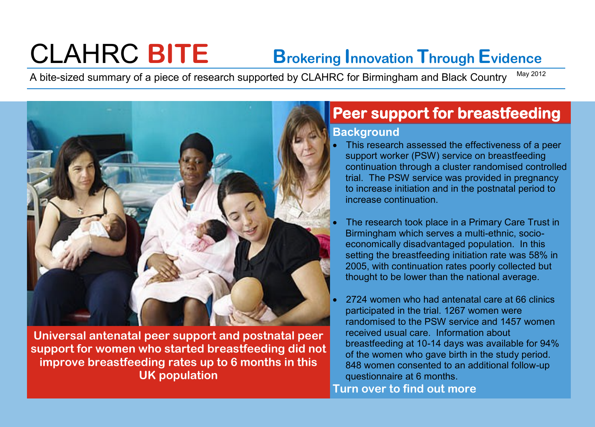# CLAHRC **BITE Brokering Innovation Through Evidence**

A bite-sized summary of a piece of research supported by CLAHRC for Birmingham and Black Country May 2012



**Universal antenatal peer support and postnatal peer support for women who started breastfeeding did not improve breastfeeding rates up to 6 months in this UK population**

## **Peer support for breastfeeding**

#### **Background**

- This research assessed the effectiveness of a peer support worker (PSW) service on breastfeeding continuation through a cluster randomised controlled trial. The PSW service was provided in pregnancy to increase initiation and in the postnatal period to increase continuation.
- The research took place in a Primary Care Trust in Birmingham which serves a multi-ethnic, socioeconomically disadvantaged population. In this setting the breastfeeding initiation rate was 58% in 2005, with continuation rates poorly collected but thought to be lower than the national average.
- 2724 women who had antenatal care at 66 clinics participated in the trial. 1267 women were randomised to the PSW service and 1457 women received usual care. Information about breastfeeding at 10-14 days was available for 94% of the women who gave birth in the study period. 848 women consented to an additional follow-up questionnaire at 6 months.

**Turn over to find out more**